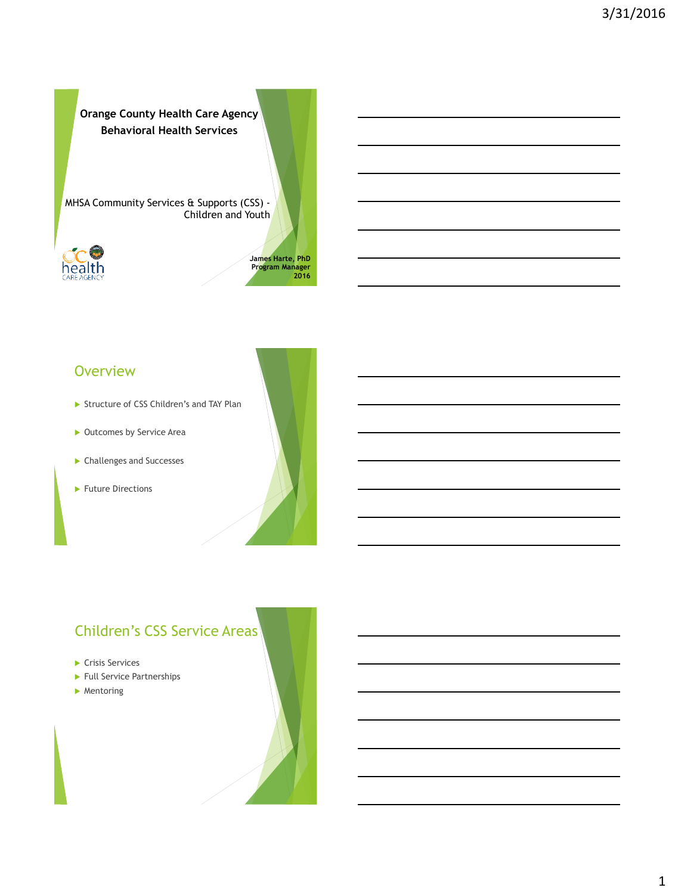**Orange County Health Care Agency Behavioral Health Services**

MHSA Community Services & Supports (CSS) - Children and Youth



1 **James Harte, PhD Program Manager 2016**

#### **Overview**

- Structure of CSS Children's and TAY Plan
- ▶ Outcomes by Service Area
- Challenges and Successes
- Future Directions



# Children's CSS Service Areas

- Crisis Services
- ▶ Full Service Partnerships
- **Mentoring**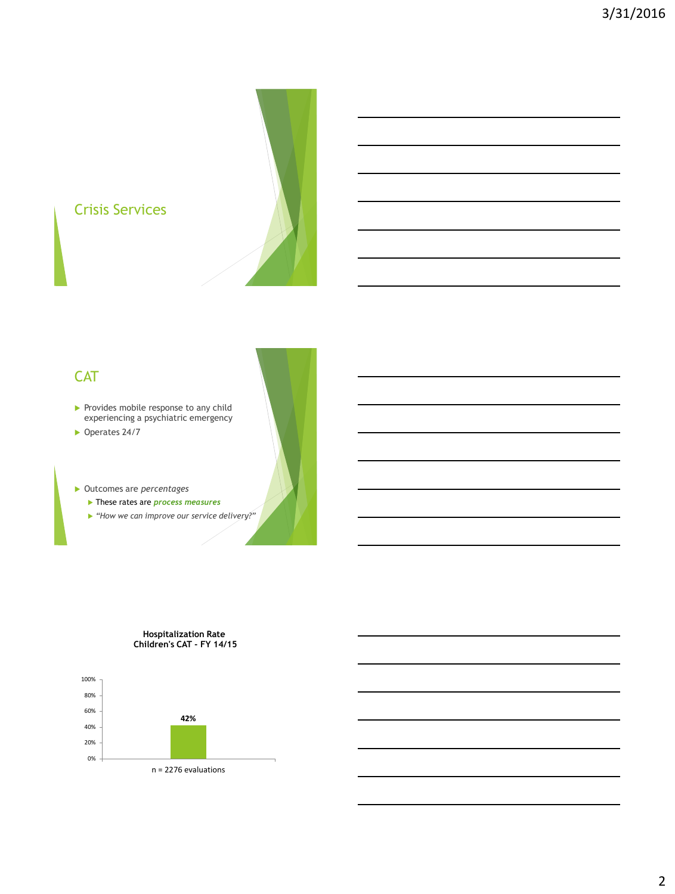



## **CAT**

- $\blacktriangleright$  Provides mobile response to any child experiencing a psychiatric emergency
- ▶ Operates 24/7

Outcomes are *percentages*

- These rates are *process measures*
- *"How we can improve our service delivery?"*

#### **Hospitalization Rate Children's CAT - FY 14/15**

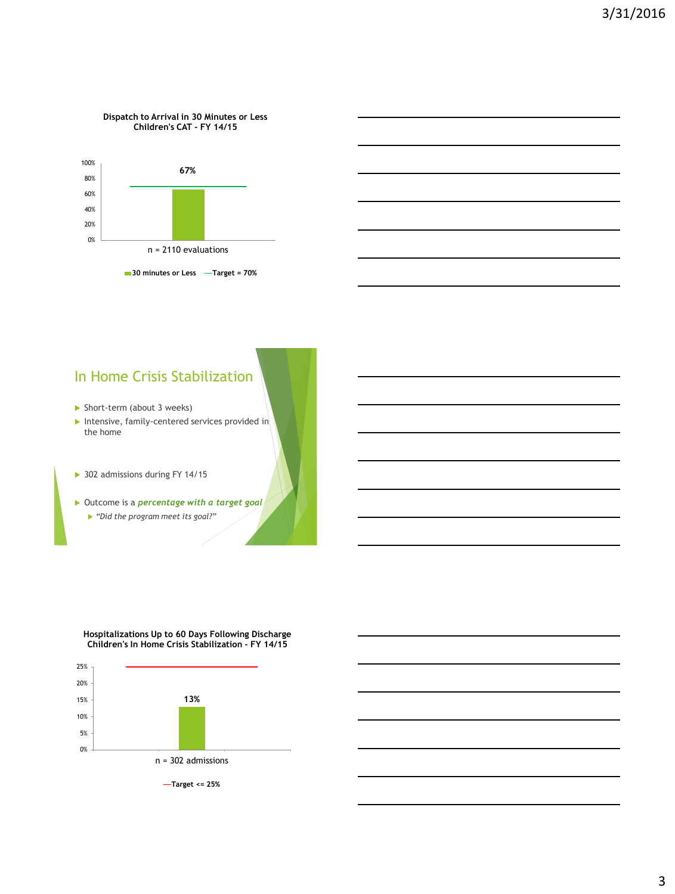#### **Dispatch to Arrival in 30 Minutes or Less Children's CAT - FY 14/15**



### In Home Crisis Stabilization

- Short-term (about 3 weeks)
- $\blacktriangleright$  Intensive, family-centered services provided in the home
- 302 admissions during FY 14/15
- Outcome is a *percentage with a target goal "Did the program meet its goal?"*

#### **Hospitalizations Up to 60 Days Following Discharge Children's In Home Crisis Stabilization - FY 14/15**

![](_page_2_Figure_9.jpeg)

**Target <= 25%**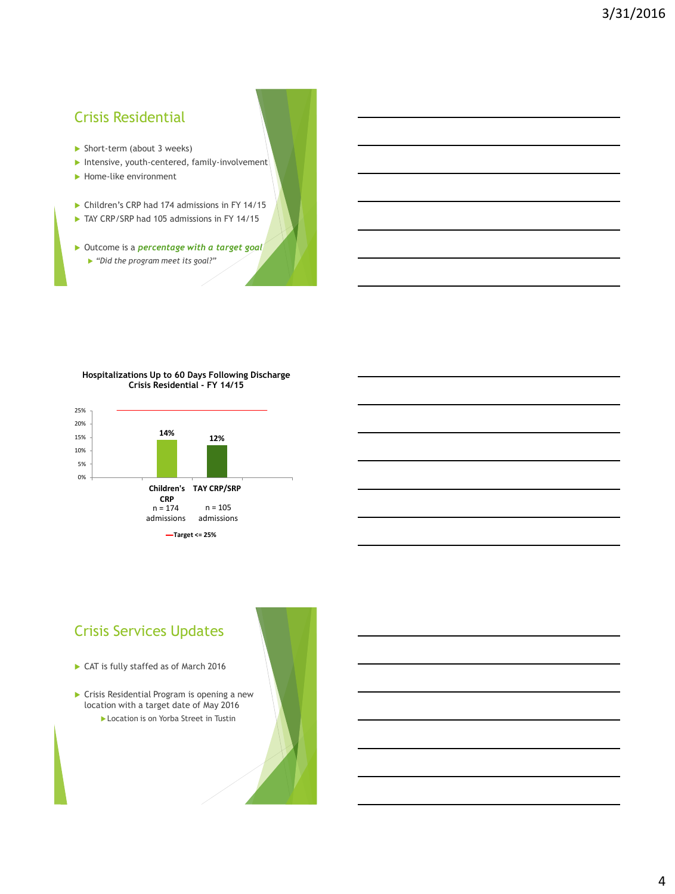## Crisis Residential

- Short-term (about 3 weeks)
- $\blacktriangleright$  Intensive, youth-centered, family-involvement
- Home-like environment
- ▶ Children's CRP had 174 admissions in FY 14/15
- TAY CRP/SRP had 105 admissions in FY 14/15
- Outcome is a *percentage with a target goal*
	- *"Did the program meet its goal?"*

#### **Hospitalizations Up to 60 Days Following Discharge Crisis Residential - FY 14/15**

![](_page_3_Figure_10.jpeg)

# Crisis Services Updates

- CAT is fully staffed as of March 2016
- Crisis Residential Program is opening a new location with a target date of May 2016 Location is on Yorba Street in Tustin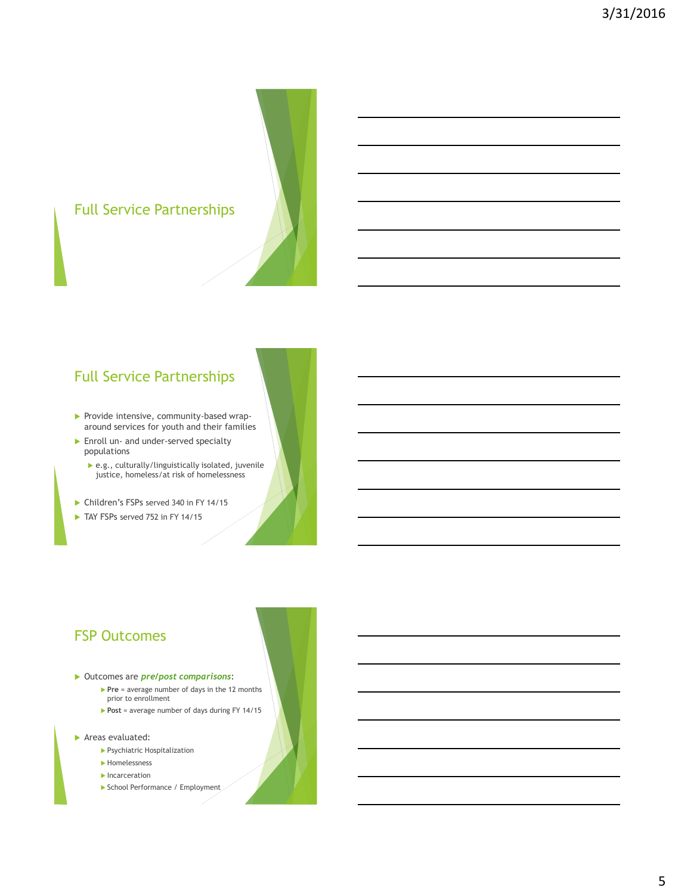# Full Service Partnerships

## Full Service Partnerships

- Provide intensive, community-based wraparound services for youth and their families
- **Enroll un- and under-served specialty** populations
	- e.g., culturally/linguistically isolated, juvenile justice, homeless/at risk of homelessness
- Children's FSPs served 340 in FY 14/15
- TAY FSPs served 752 in FY 14/15

### FSP Outcomes

- Outcomes are *pre/post comparisons*:
	- **Pre** = average number of days in the 12 months prior to enrollment
	- Post = average number of days during FY 14/15
- Areas evaluated:
	- Psychiatric Hospitalization
	- Homelessness
	- **Incarceration**
	- School Performance / Employment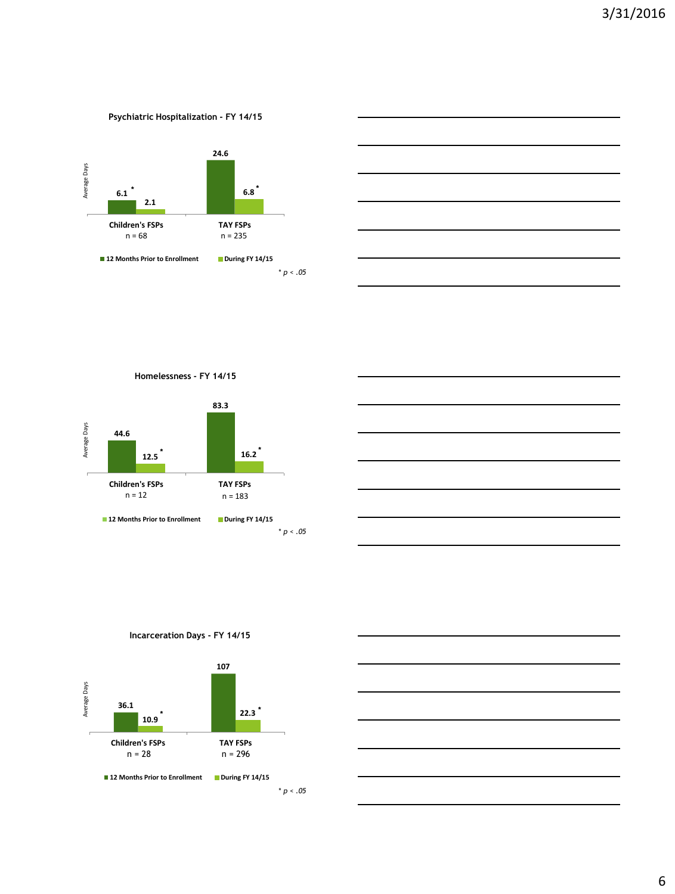#### **Psychiatric Hospitalization - FY 14/15**

![](_page_5_Figure_2.jpeg)

![](_page_5_Figure_3.jpeg)

**Homelessness - FY 14/15**

![](_page_5_Figure_5.jpeg)

![](_page_5_Figure_6.jpeg)

**Incarceration Days - FY 14/15**

![](_page_5_Figure_8.jpeg)

**12 Months Prior to Enrollment During FY 14/15** 

\* *p < .05*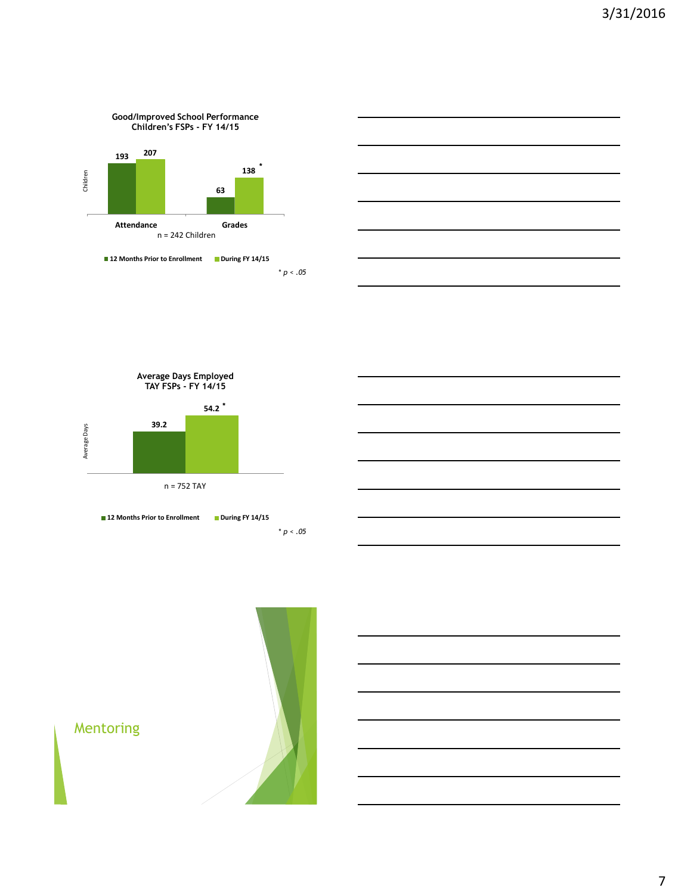![](_page_6_Figure_1.jpeg)

![](_page_6_Figure_2.jpeg)

![](_page_6_Figure_3.jpeg)

![](_page_6_Figure_4.jpeg)

![](_page_6_Picture_5.jpeg)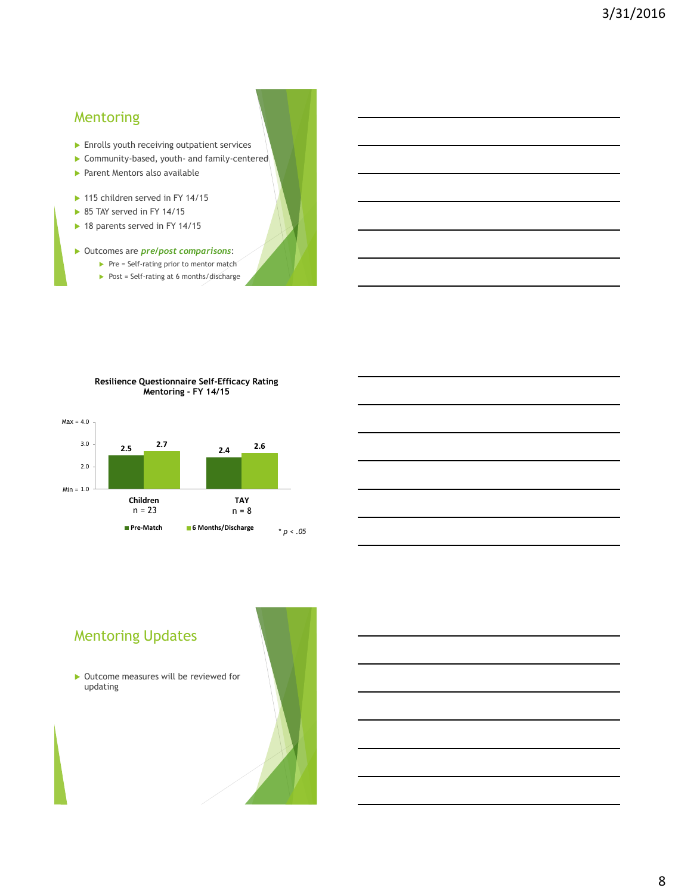### Mentoring

- **Enrolls youth receiving outpatient services**
- Community-based, youth- and family-centered
- **Parent Mentors also available**
- ▶ 115 children served in FY 14/15
- ▶ 85 TAY served in FY 14/15
- ▶ 18 parents served in FY 14/15

#### Outcomes are *pre/post comparisons*:

- $\blacktriangleright$  Pre = Self-rating prior to mentor match
- Post = Self-rating at 6 months/discharge

![](_page_7_Figure_11.jpeg)

![](_page_7_Figure_12.jpeg)

## Mentoring Updates

▶ Outcome measures will be reviewed for updating

![](_page_7_Picture_15.jpeg)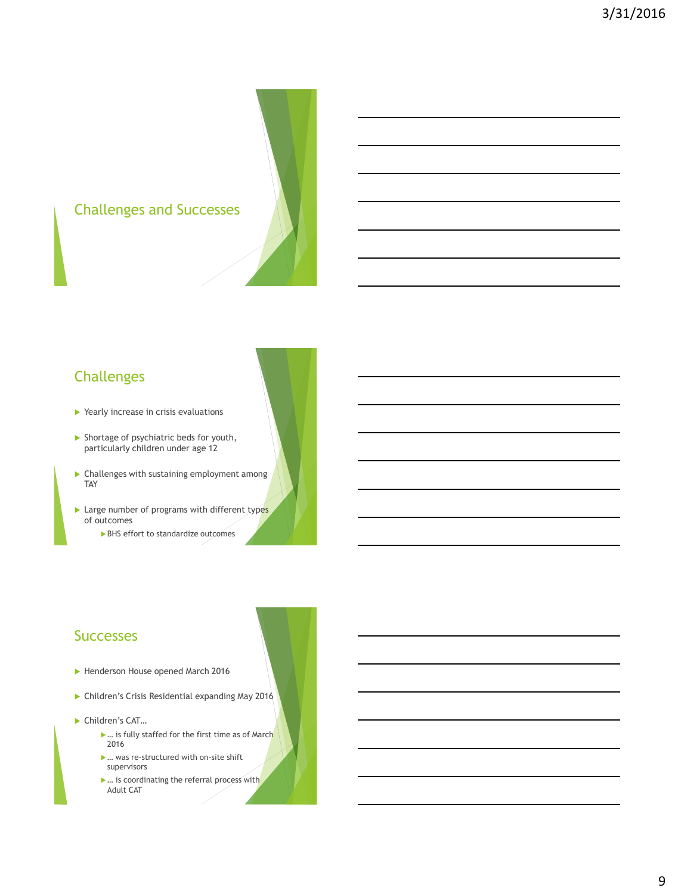# Challenges and Successes

## Challenges

- ▶ Yearly increase in crisis evaluations
- Shortage of psychiatric beds for youth, particularly children under age 12
- Challenges with sustaining employment among TAY
- $\blacktriangleright$  Large number of programs with different types of outcomes
	- ▶ BHS effort to standardize outcomes

#### **Successes**

- Henderson House opened March 2016
- Children's Crisis Residential expanding May 2016
- ▶ Children's CAT...
	- ▶ ... is fully staffed for the first time as of March 2016
	- … was re-structured with on-site shift supervisors
	- … is coordinating the referral process with Adult CAT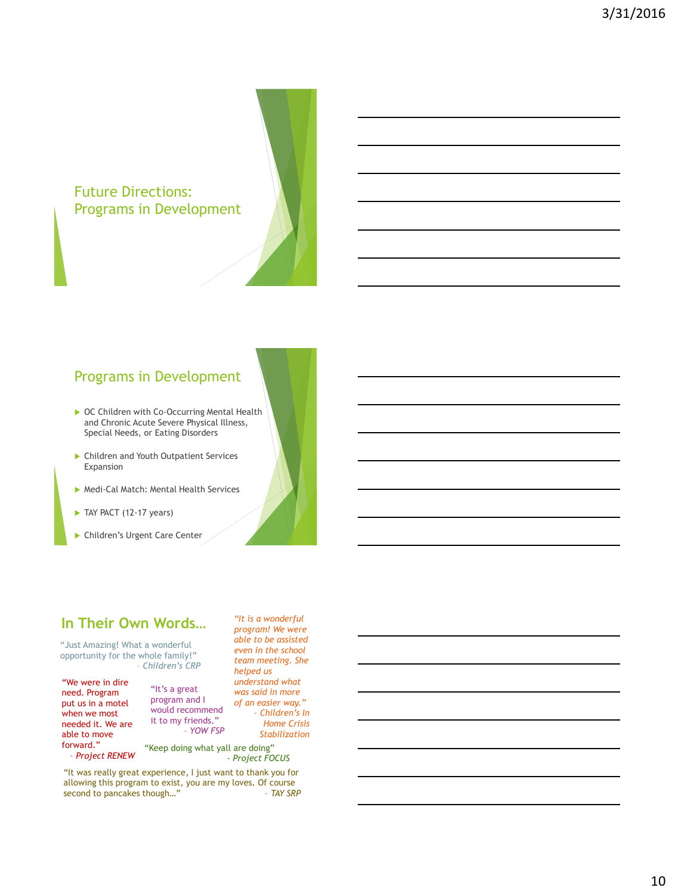#### Future Directions: Programs in Development

### Programs in Development

- ▶ OC Children with Co-Occurring Mental Health and Chronic Acute Severe Physical Illness, Special Needs, or Eating Disorders
- Children and Youth Outpatient Services Expansion
- Medi-Cal Match: Mental Health Services
- TAY PACT (12-17 years)
- Children's Urgent Care Center

#### **In Their Own Words…**

"Just Amazing! What a wonderful opportunity for the whole family!" – *Children's CRP* 

"We were in dire need. Program put us in a motel when we most needed it. We are able to move forward." – *Project RENEW*

"It's a great program and I would recommend it to my friends." – *YOW FSP* *understand what was said in more of an easier way." – Children's In Home Crisis Stabilization*

*"It is a wonderful program! We were able to be assisted even in the school team meeting. She helped us* 

"Keep doing what yall are doing" - *Project FOCUS*

"It was really great experience, I just want to thank you for allowing this program to exist, you are my loves. Of course second to pancakes though..." - TAY SRP second to pancakes though...<sup>"</sup>